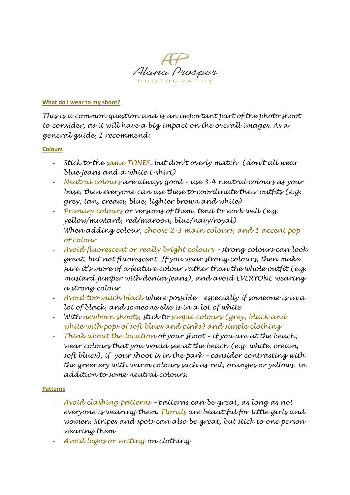

## **What do I wear to my shoot?**

*This is a common question and is an important part of the photo shoot to consider, as it will have a big impact on the overall images. As a general guide, I recommend:*

## **Colours**

- *Stick to the same TONES, but don't overly match (don't all wear blue jeans and a white t-shirt)*
- *Neutral colours are always good – use 3-4 neutral colours as your base, then everyone can use these to coordinate their outfits (e.g. grey, tan, cream, blue, lighter brown and white)*
- *Primary colours or versions of them, tend to work well (e.g. yellow/mustard, red/maroon, blue/navy/royal)*
- *When adding colour, choose 2-3 main colours, and 1 accent pop of colour*
- *Avoid fluorescent or really bright colours – strong colours can look great, but not fluorescent. If you wear strong colours, then make sure it's more of a feature colour rather than the whole outfit (e.g. mustard jumper with denim jeans), and avoid EVERYONE wearing a strong colour*
- *Avoid too much black where possible – especially if someone is in a lot of black, and someone else is in a lot of white*
- *With newborn shoots, stick to simple colours (grey, black and white with pops of soft blues and pinks) and simple clothing*
- *Think about the location of your shoot – if you are at the beach, wear colours that you would see at the beach (e.g. white, cream, soft blues), if your shoot is in the park – consider contrasting with the greenery with warm colours such as red, oranges or yellows, in addition to some neutral colours.*

## **Patterns**

- *Avoid clashing patterns – patterns can be great, as long as not everyone is wearing them. Florals are beautiful for little girls and women. Stripes and spots can also be great, but stick to one person wearing them*
- *Avoid logos or writing on clothing*